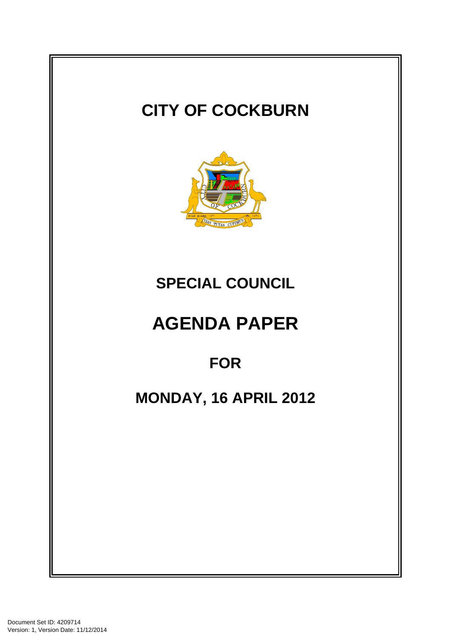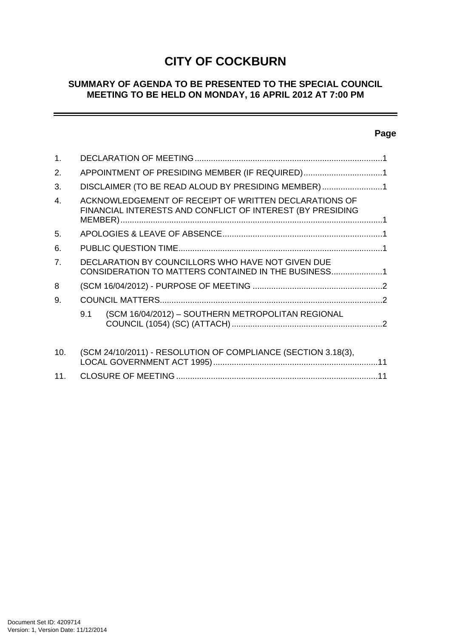# **CITY OF COCKBURN**

## **SUMMARY OF AGENDA TO BE PRESENTED TO THE SPECIAL COUNCIL MEETING TO BE HELD ON MONDAY, 16 APRIL 2012 AT 7:00 PM**

# **Page**

÷

| $\mathbf{1}$ . |                                                                                                                     |  |
|----------------|---------------------------------------------------------------------------------------------------------------------|--|
| 2.             | APPOINTMENT OF PRESIDING MEMBER (IF REQUIRED)1                                                                      |  |
| 3.             | DISCLAIMER (TO BE READ ALOUD BY PRESIDING MEMBER)1                                                                  |  |
| $\mathbf{4}$ . | ACKNOWLEDGEMENT OF RECEIPT OF WRITTEN DECLARATIONS OF<br>FINANCIAL INTERESTS AND CONFLICT OF INTEREST (BY PRESIDING |  |
| 5.             |                                                                                                                     |  |
| 6.             |                                                                                                                     |  |
| 7 <sub>1</sub> | DECLARATION BY COUNCILLORS WHO HAVE NOT GIVEN DUE<br>CONSIDERATION TO MATTERS CONTAINED IN THE BUSINESS1            |  |
| 8              |                                                                                                                     |  |
| 9.             |                                                                                                                     |  |
|                | (SCM 16/04/2012) - SOUTHERN METROPOLITAN REGIONAL<br>9.1                                                            |  |
| 10.            | (SCM 24/10/2011) - RESOLUTION OF COMPLIANCE (SECTION 3.18(3),                                                       |  |
| 11.            |                                                                                                                     |  |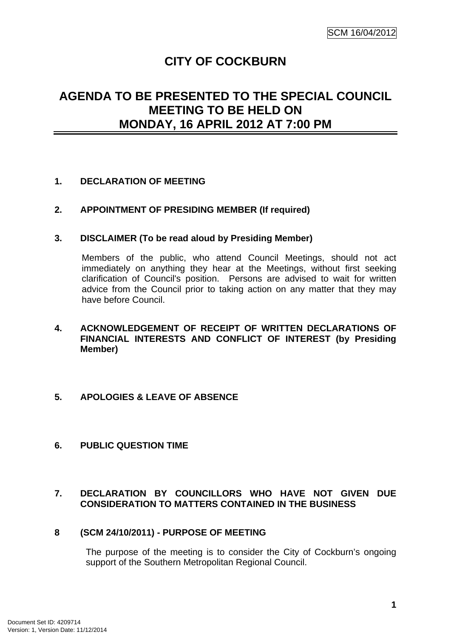# **CITY OF COCKBURN**

# **AGENDA TO BE PRESENTED TO THE SPECIAL COUNCIL MEETING TO BE HELD ON MONDAY, 16 APRIL 2012 AT 7:00 PM**

## **1. DECLARATION OF MEETING**

## **2. APPOINTMENT OF PRESIDING MEMBER (If required)**

## **3. DISCLAIMER (To be read aloud by Presiding Member)**

Members of the public, who attend Council Meetings, should not act immediately on anything they hear at the Meetings, without first seeking clarification of Council's position. Persons are advised to wait for written advice from the Council prior to taking action on any matter that they may have before Council.

## **4. ACKNOWLEDGEMENT OF RECEIPT OF WRITTEN DECLARATIONS OF FINANCIAL INTERESTS AND CONFLICT OF INTEREST (by Presiding Member)**

## **5. APOLOGIES & LEAVE OF ABSENCE**

## **6. PUBLIC QUESTION TIME**

## **7. DECLARATION BY COUNCILLORS WHO HAVE NOT GIVEN DUE CONSIDERATION TO MATTERS CONTAINED IN THE BUSINESS**

## **8 (SCM 24/10/2011) - PURPOSE OF MEETING**

The purpose of the meeting is to consider the City of Cockburn's ongoing support of the Southern Metropolitan Regional Council.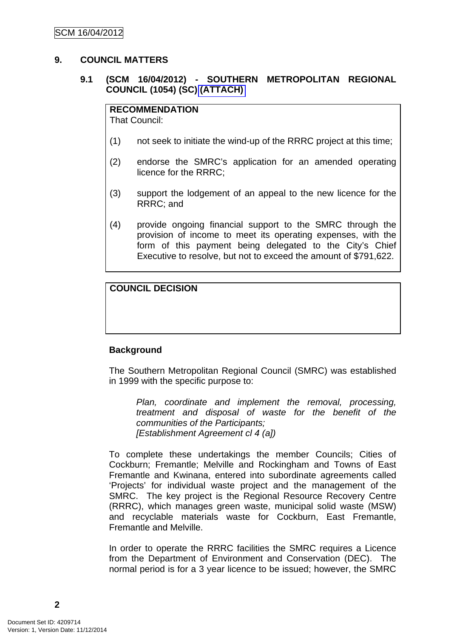## **9. COUNCIL MATTERS**

## **9.1 (SCM 16/04/2012) - SOUTHERN METROPOLITAN REGIONAL COUNCIL (1054) (SC) (ATTACH)**

#### **RECOMMENDATION**

That Council:

- (1) not seek to initiate the wind-up of the RRRC project at this time;
- (2) endorse the SMRC's application for an amended operating licence for the RRRC;
- (3) support the lodgement of an appeal to the new licence for the RRRC; and
- (4) provide ongoing financial support to the SMRC through the provision of income to meet its operating expenses, with the form of this payment being delegated to the City's Chief Executive to resolve, but not to exceed the amount of \$791,622.

## **COUNCIL DECISION**

#### **Background**

The Southern Metropolitan Regional Council (SMRC) was established in 1999 with the specific purpose to:

*Plan, coordinate and implement the removal, processing, treatment and disposal of waste for the benefit of the communities of the Participants; [Establishment Agreement cl 4 (a])* 

To complete these undertakings the member Councils; Cities of Cockburn; Fremantle; Melville and Rockingham and Towns of East Fremantle and Kwinana, entered into subordinate agreements called 'Projects' for individual waste project and the management of the SMRC. The key project is the Regional Resource Recovery Centre (RRRC), which manages green waste, municipal solid waste (MSW) and recyclable materials waste for Cockburn, East Fremantle, Fremantle and Melville.

In order to operate the RRRC facilities the SMRC requires a Licence from the Department of Environment and Conservation (DEC). The normal period is for a 3 year licence to be issued; however, the SMRC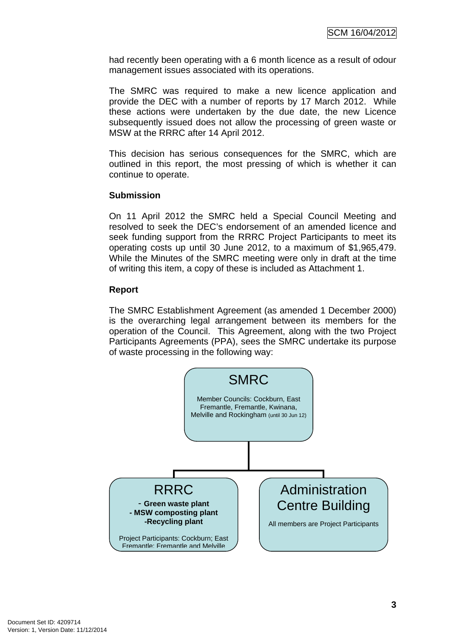had recently been operating with a 6 month licence as a result of odour management issues associated with its operations.

The SMRC was required to make a new licence application and provide the DEC with a number of reports by 17 March 2012. While these actions were undertaken by the due date, the new Licence subsequently issued does not allow the processing of green waste or MSW at the RRRC after 14 April 2012.

This decision has serious consequences for the SMRC, which are outlined in this report, the most pressing of which is whether it can continue to operate.

## **Submission**

On 11 April 2012 the SMRC held a Special Council Meeting and resolved to seek the DEC's endorsement of an amended licence and seek funding support from the RRRC Project Participants to meet its operating costs up until 30 June 2012, to a maximum of \$1,965,479. While the Minutes of the SMRC meeting were only in draft at the time of writing this item, a copy of these is included as Attachment 1.

## **Report**

The SMRC Establishment Agreement (as amended 1 December 2000) is the overarching legal arrangement between its members for the operation of the Council. This Agreement, along with the two Project Participants Agreements (PPA), sees the SMRC undertake its purpose of waste processing in the following way:

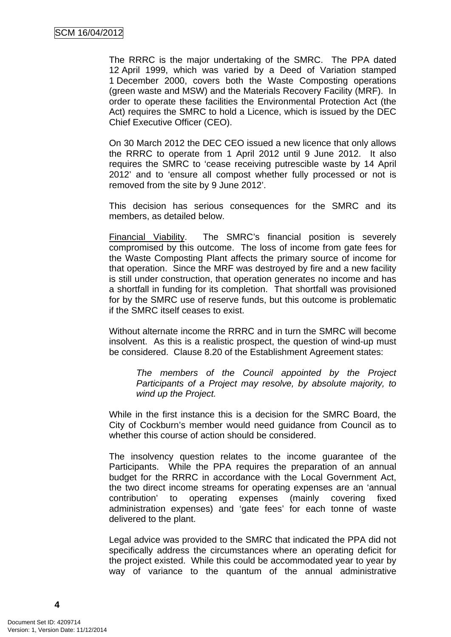The RRRC is the major undertaking of the SMRC. The PPA dated 12 April 1999, which was varied by a Deed of Variation stamped 1 December 2000, covers both the Waste Composting operations (green waste and MSW) and the Materials Recovery Facility (MRF). In order to operate these facilities the Environmental Protection Act (the Act) requires the SMRC to hold a Licence, which is issued by the DEC Chief Executive Officer (CEO).

On 30 March 2012 the DEC CEO issued a new licence that only allows the RRRC to operate from 1 April 2012 until 9 June 2012. It also requires the SMRC to 'cease receiving putrescible waste by 14 April 2012' and to 'ensure all compost whether fully processed or not is removed from the site by 9 June 2012'.

This decision has serious consequences for the SMRC and its members, as detailed below.

Financial Viability. The SMRC's financial position is severely compromised by this outcome. The loss of income from gate fees for the Waste Composting Plant affects the primary source of income for that operation. Since the MRF was destroyed by fire and a new facility is still under construction, that operation generates no income and has a shortfall in funding for its completion. That shortfall was provisioned for by the SMRC use of reserve funds, but this outcome is problematic if the SMRC itself ceases to exist.

Without alternate income the RRRC and in turn the SMRC will become insolvent. As this is a realistic prospect, the question of wind-up must be considered. Clause 8.20 of the Establishment Agreement states:

*The members of the Council appointed by the Project Participants of a Project may resolve, by absolute majority, to wind up the Project.* 

While in the first instance this is a decision for the SMRC Board, the City of Cockburn's member would need guidance from Council as to whether this course of action should be considered.

The insolvency question relates to the income guarantee of the Participants. While the PPA requires the preparation of an annual budget for the RRRC in accordance with the Local Government Act, the two direct income streams for operating expenses are an 'annual contribution' to operating expenses (mainly covering fixed administration expenses) and 'gate fees' for each tonne of waste delivered to the plant.

Legal advice was provided to the SMRC that indicated the PPA did not specifically address the circumstances where an operating deficit for the project existed. While this could be accommodated year to year by way of variance to the quantum of the annual administrative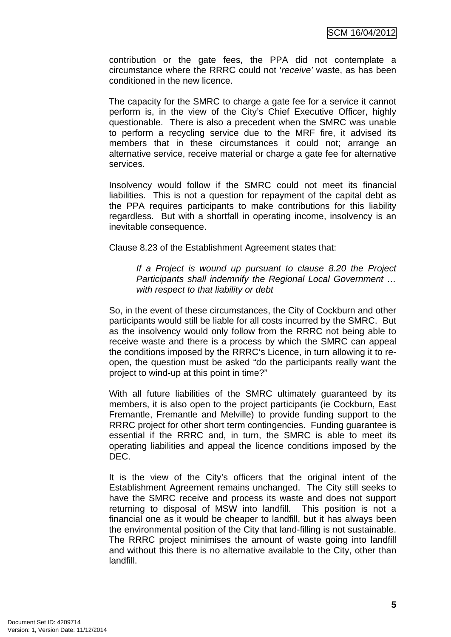contribution or the gate fees, the PPA did not contemplate a circumstance where the RRRC could not '*receive'* waste, as has been conditioned in the new licence.

The capacity for the SMRC to charge a gate fee for a service it cannot perform is, in the view of the City's Chief Executive Officer, highly questionable. There is also a precedent when the SMRC was unable to perform a recycling service due to the MRF fire, it advised its members that in these circumstances it could not; arrange an alternative service, receive material or charge a gate fee for alternative services.

Insolvency would follow if the SMRC could not meet its financial liabilities. This is not a question for repayment of the capital debt as the PPA requires participants to make contributions for this liability regardless. But with a shortfall in operating income, insolvency is an inevitable consequence.

Clause 8.23 of the Establishment Agreement states that:

*If a Project is wound up pursuant to clause 8.20 the Project Participants shall indemnify the Regional Local Government … with respect to that liability or debt* 

So, in the event of these circumstances, the City of Cockburn and other participants would still be liable for all costs incurred by the SMRC. But as the insolvency would only follow from the RRRC not being able to receive waste and there is a process by which the SMRC can appeal the conditions imposed by the RRRC's Licence, in turn allowing it to reopen, the question must be asked "do the participants really want the project to wind-up at this point in time?"

With all future liabilities of the SMRC ultimately guaranteed by its members, it is also open to the project participants (ie Cockburn, East Fremantle, Fremantle and Melville) to provide funding support to the RRRC project for other short term contingencies. Funding guarantee is essential if the RRRC and, in turn, the SMRC is able to meet its operating liabilities and appeal the licence conditions imposed by the DEC.

It is the view of the City's officers that the original intent of the Establishment Agreement remains unchanged. The City still seeks to have the SMRC receive and process its waste and does not support returning to disposal of MSW into landfill. This position is not a financial one as it would be cheaper to landfill, but it has always been the environmental position of the City that land-filling is not sustainable. The RRRC project minimises the amount of waste going into landfill and without this there is no alternative available to the City, other than landfill.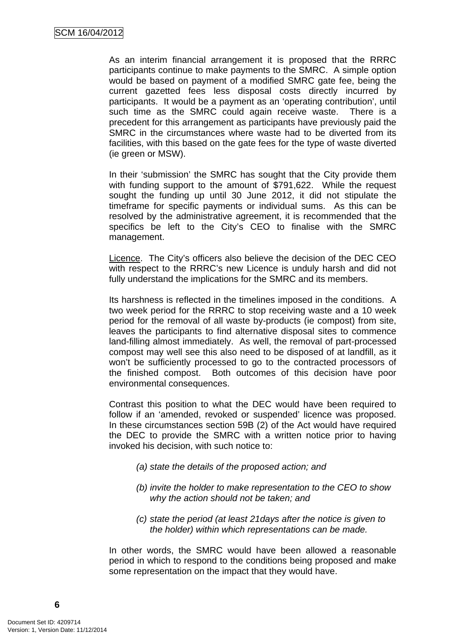As an interim financial arrangement it is proposed that the RRRC participants continue to make payments to the SMRC. A simple option would be based on payment of a modified SMRC gate fee, being the current gazetted fees less disposal costs directly incurred by participants. It would be a payment as an 'operating contribution', until such time as the SMRC could again receive waste. There is a precedent for this arrangement as participants have previously paid the SMRC in the circumstances where waste had to be diverted from its facilities, with this based on the gate fees for the type of waste diverted (ie green or MSW).

In their 'submission' the SMRC has sought that the City provide them with funding support to the amount of \$791,622. While the request sought the funding up until 30 June 2012, it did not stipulate the timeframe for specific payments or individual sums. As this can be resolved by the administrative agreement, it is recommended that the specifics be left to the City's CEO to finalise with the SMRC management.

Licence. The City's officers also believe the decision of the DEC CEO with respect to the RRRC's new Licence is unduly harsh and did not fully understand the implications for the SMRC and its members.

Its harshness is reflected in the timelines imposed in the conditions. A two week period for the RRRC to stop receiving waste and a 10 week period for the removal of all waste by-products (ie compost) from site, leaves the participants to find alternative disposal sites to commence land-filling almost immediately. As well, the removal of part-processed compost may well see this also need to be disposed of at landfill, as it won't be sufficiently processed to go to the contracted processors of the finished compost. Both outcomes of this decision have poor environmental consequences.

Contrast this position to what the DEC would have been required to follow if an 'amended, revoked or suspended' licence was proposed. In these circumstances section 59B (2) of the Act would have required the DEC to provide the SMRC with a written notice prior to having invoked his decision, with such notice to:

- *(a) state the details of the proposed action; and*
- *(b) invite the holder to make representation to the CEO to show why the action should not be taken; and*
- *(c) state the period (at least 21days after the notice is given to the holder) within which representations can be made.*

In other words, the SMRC would have been allowed a reasonable period in which to respond to the conditions being proposed and make some representation on the impact that they would have.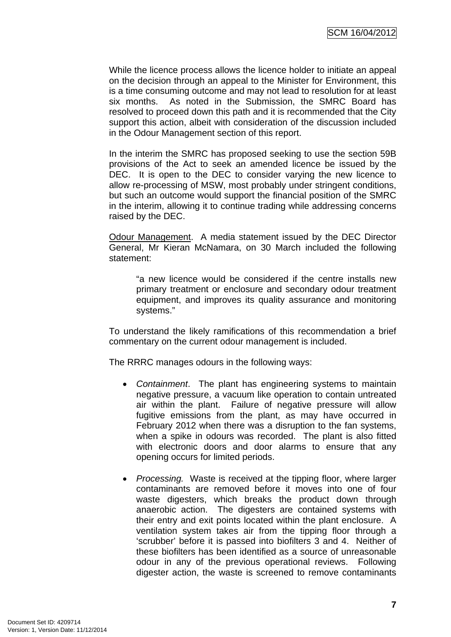While the licence process allows the licence holder to initiate an appeal on the decision through an appeal to the Minister for Environment, this is a time consuming outcome and may not lead to resolution for at least six months. As noted in the Submission, the SMRC Board has resolved to proceed down this path and it is recommended that the City support this action, albeit with consideration of the discussion included in the Odour Management section of this report.

In the interim the SMRC has proposed seeking to use the section 59B provisions of the Act to seek an amended licence be issued by the DEC. It is open to the DEC to consider varying the new licence to allow re-processing of MSW, most probably under stringent conditions, but such an outcome would support the financial position of the SMRC in the interim, allowing it to continue trading while addressing concerns raised by the DEC.

Odour Management. A media statement issued by the DEC Director General, Mr Kieran McNamara, on 30 March included the following statement:

 "a new licence would be considered if the centre installs new primary treatment or enclosure and secondary odour treatment equipment, and improves its quality assurance and monitoring systems."

To understand the likely ramifications of this recommendation a brief commentary on the current odour management is included.

The RRRC manages odours in the following ways:

- *Containment*. The plant has engineering systems to maintain negative pressure, a vacuum like operation to contain untreated air within the plant. Failure of negative pressure will allow fugitive emissions from the plant, as may have occurred in February 2012 when there was a disruption to the fan systems, when a spike in odours was recorded. The plant is also fitted with electronic doors and door alarms to ensure that any opening occurs for limited periods.
- *Processing.* Waste is received at the tipping floor, where larger contaminants are removed before it moves into one of four waste digesters, which breaks the product down through anaerobic action. The digesters are contained systems with their entry and exit points located within the plant enclosure. A ventilation system takes air from the tipping floor through a 'scrubber' before it is passed into biofilters 3 and 4. Neither of these biofilters has been identified as a source of unreasonable odour in any of the previous operational reviews. Following digester action, the waste is screened to remove contaminants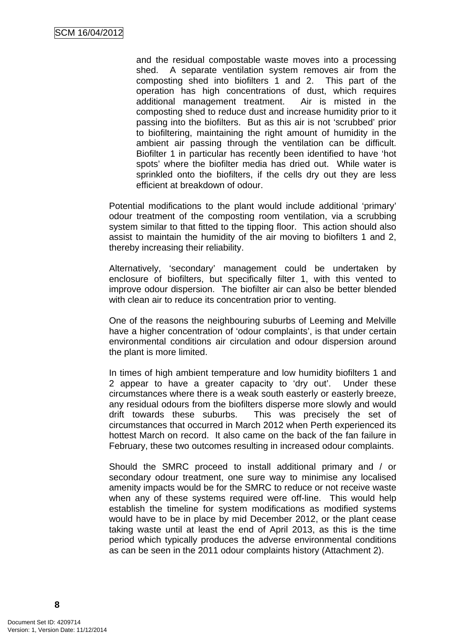and the residual compostable waste moves into a processing shed. A separate ventilation system removes air from the composting shed into biofilters 1 and 2. This part of the operation has high concentrations of dust, which requires additional management treatment. Air is misted in the composting shed to reduce dust and increase humidity prior to it passing into the biofilters. But as this air is not 'scrubbed' prior to biofiltering, maintaining the right amount of humidity in the ambient air passing through the ventilation can be difficult. Biofilter 1 in particular has recently been identified to have 'hot spots' where the biofilter media has dried out. While water is sprinkled onto the biofilters, if the cells dry out they are less efficient at breakdown of odour.

Potential modifications to the plant would include additional 'primary' odour treatment of the composting room ventilation, via a scrubbing system similar to that fitted to the tipping floor. This action should also assist to maintain the humidity of the air moving to biofilters 1 and 2, thereby increasing their reliability.

Alternatively, 'secondary' management could be undertaken by enclosure of biofilters, but specifically filter 1, with this vented to improve odour dispersion. The biofilter air can also be better blended with clean air to reduce its concentration prior to venting.

One of the reasons the neighbouring suburbs of Leeming and Melville have a higher concentration of 'odour complaints', is that under certain environmental conditions air circulation and odour dispersion around the plant is more limited.

In times of high ambient temperature and low humidity biofilters 1 and 2 appear to have a greater capacity to 'dry out'. Under these circumstances where there is a weak south easterly or easterly breeze, any residual odours from the biofilters disperse more slowly and would drift towards these suburbs. This was precisely the set of circumstances that occurred in March 2012 when Perth experienced its hottest March on record. It also came on the back of the fan failure in February, these two outcomes resulting in increased odour complaints.

Should the SMRC proceed to install additional primary and / or secondary odour treatment, one sure way to minimise any localised amenity impacts would be for the SMRC to reduce or not receive waste when any of these systems required were off-line. This would help establish the timeline for system modifications as modified systems would have to be in place by mid December 2012, or the plant cease taking waste until at least the end of April 2013, as this is the time period which typically produces the adverse environmental conditions as can be seen in the 2011 odour complaints history (Attachment 2).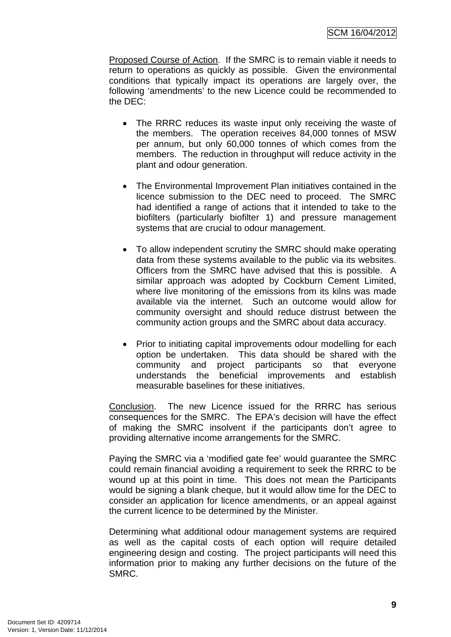Proposed Course of Action. If the SMRC is to remain viable it needs to return to operations as quickly as possible. Given the environmental conditions that typically impact its operations are largely over, the following 'amendments' to the new Licence could be recommended to the DEC:

- The RRRC reduces its waste input only receiving the waste of the members. The operation receives 84,000 tonnes of MSW per annum, but only 60,000 tonnes of which comes from the members. The reduction in throughput will reduce activity in the plant and odour generation.
- The Environmental Improvement Plan initiatives contained in the licence submission to the DEC need to proceed. The SMRC had identified a range of actions that it intended to take to the biofilters (particularly biofilter 1) and pressure management systems that are crucial to odour management.
- To allow independent scrutiny the SMRC should make operating data from these systems available to the public via its websites. Officers from the SMRC have advised that this is possible. A similar approach was adopted by Cockburn Cement Limited, where live monitoring of the emissions from its kilns was made available via the internet. Such an outcome would allow for community oversight and should reduce distrust between the community action groups and the SMRC about data accuracy.
- Prior to initiating capital improvements odour modelling for each option be undertaken. This data should be shared with the community and project participants so that everyone understands the beneficial improvements and establish measurable baselines for these initiatives.

Conclusion. The new Licence issued for the RRRC has serious consequences for the SMRC. The EPA's decision will have the effect of making the SMRC insolvent if the participants don't agree to providing alternative income arrangements for the SMRC.

Paying the SMRC via a 'modified gate fee' would guarantee the SMRC could remain financial avoiding a requirement to seek the RRRC to be wound up at this point in time. This does not mean the Participants would be signing a blank cheque, but it would allow time for the DEC to consider an application for licence amendments, or an appeal against the current licence to be determined by the Minister.

Determining what additional odour management systems are required as well as the capital costs of each option will require detailed engineering design and costing. The project participants will need this information prior to making any further decisions on the future of the SMRC.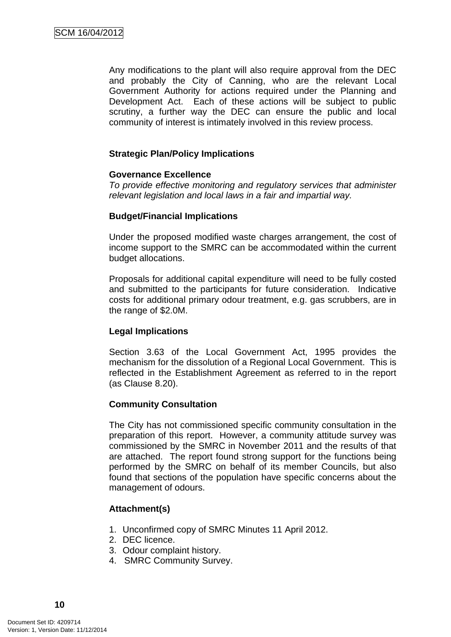Any modifications to the plant will also require approval from the DEC and probably the City of Canning, who are the relevant Local Government Authority for actions required under the Planning and Development Act. Each of these actions will be subject to public scrutiny, a further way the DEC can ensure the public and local community of interest is intimately involved in this review process.

## **Strategic Plan/Policy Implications**

#### **Governance Excellence**

*To provide effective monitoring and regulatory services that administer relevant legislation and local laws in a fair and impartial way.* 

## **Budget/Financial Implications**

Under the proposed modified waste charges arrangement, the cost of income support to the SMRC can be accommodated within the current budget allocations.

Proposals for additional capital expenditure will need to be fully costed and submitted to the participants for future consideration. Indicative costs for additional primary odour treatment, e.g. gas scrubbers, are in the range of \$2.0M.

## **Legal Implications**

Section 3.63 of the Local Government Act, 1995 provides the mechanism for the dissolution of a Regional Local Government. This is reflected in the Establishment Agreement as referred to in the report (as Clause 8.20).

## **Community Consultation**

The City has not commissioned specific community consultation in the preparation of this report. However, a community attitude survey was commissioned by the SMRC in November 2011 and the results of that are attached. The report found strong support for the functions being performed by the SMRC on behalf of its member Councils, but also found that sections of the population have specific concerns about the management of odours.

## **Attachment(s)**

- 1. Unconfirmed copy of SMRC Minutes 11 April 2012.
- 2. DEC licence.
- 3. Odour complaint history.
- 4. SMRC Community Survey.